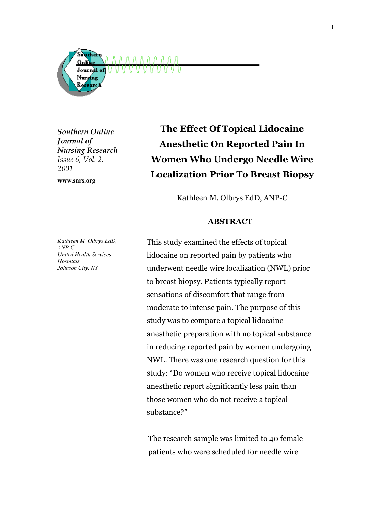

*Southern Online Journal of Nursing Research Issue 6, Vol. 2, 2001*

**www.snrs.org**

**The Effect Of Topical Lidocaine Anesthetic On Reported Pain In Women Who Undergo Needle Wire Localization Prior To Breast Biopsy** 

Kathleen M. Olbrys EdD, ANP-C

### **ABSTRACT**

This study examined the effects of topical lidocaine on reported pain by patients who underwent needle wire localization (NWL) prior to breast biopsy. Patients typically report sensations of discomfort that range from moderate to intense pain. The purpose of this study was to compare a topical lidocaine anesthetic preparation with no topical substance in reducing reported pain by women undergoing NWL. There was one research question for this study: "Do women who receive topical lidocaine anesthetic report significantly less pain than those women who do not receive a topical substance?"

The research sample was limited to 40 female patients who were scheduled for needle wire

*Kathleen M. Olbrys EdD, ANP-C United Health Services Hospitals. Johnson City, NY*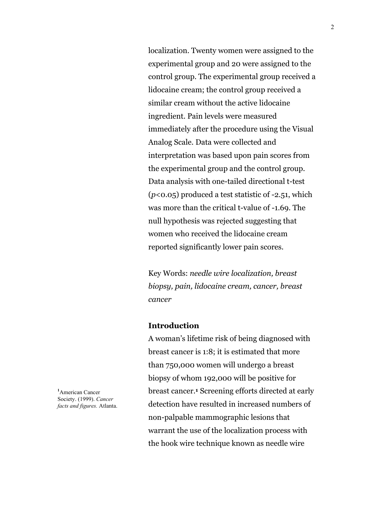localization. Twenty women were assigned to the experimental group and 20 were assigned to the control group. The experimental group received a lidocaine cream; the control group received a similar cream without the active lidocaine ingredient. Pain levels were measured immediately after the procedure using the Visual Analog Scale. Data were collected and interpretation was based upon pain scores from the experimental group and the control group. Data analysis with one-tailed directional t-test (*p*<0.05) produced a test statistic of -2.51, which was more than the critical t-value of -1.69. The null hypothesis was rejected suggesting that women who received the lidocaine cream reported significantly lower pain scores.

Key Words: *needle wire localization, breast biopsy, pain, lidocaine cream, cancer, breast cancer*

### **Introduction**

A woman's lifetime risk of being diagnosed with breast cancer is 1:8; it is estimated that more than 750,000 women will undergo a breast biopsy of whom 192,000 will be positive for breast cancer.**<sup>1</sup>** Screening efforts directed at early detection have resulted in increased numbers of non-palpable mammographic lesions that warrant the use of the localization process with the hook wire technique known as needle wire

**1** American Cancer Society. (1999). *Cancer facts and figures.* Atlanta.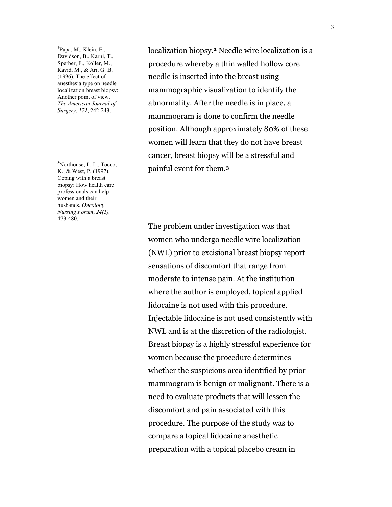**2** Papa, M., Klein, E., Davidson, B., Karni, T., Sperber, F., Koller, M., Ravid, M., & Ari, G. B. (1996). The effect of anesthesia type on needle localization breast biopsy: Another point of view. *The American Journal of Surgery, 171*, 242-243.

**3** Northouse, L. L., Tocco, K., & West, P. (1997). Coping with a breast biopsy: How health care professionals can help women and their husbands. *Oncology Nursing Forum*, *24(*3*),* 473-480.

localization biopsy.**<sup>2</sup>** Needle wire localization is a procedure whereby a thin walled hollow core needle is inserted into the breast using mammographic visualization to identify the abnormality. After the needle is in place, a mammogram is done to confirm the needle position. Although approximately 80% of these women will learn that they do not have breast cancer, breast biopsy will be a stressful and painful event for them.**<sup>3</sup>**

The problem under investigation was that women who undergo needle wire localization (NWL) prior to excisional breast biopsy report sensations of discomfort that range from moderate to intense pain. At the institution where the author is employed, topical applied lidocaine is not used with this procedure. Injectable lidocaine is not used consistently with NWL and is at the discretion of the radiologist. Breast biopsy is a highly stressful experience for women because the procedure determines whether the suspicious area identified by prior mammogram is benign or malignant. There is a need to evaluate products that will lessen the discomfort and pain associated with this procedure. The purpose of the study was to compare a topical lidocaine anesthetic preparation with a topical placebo cream in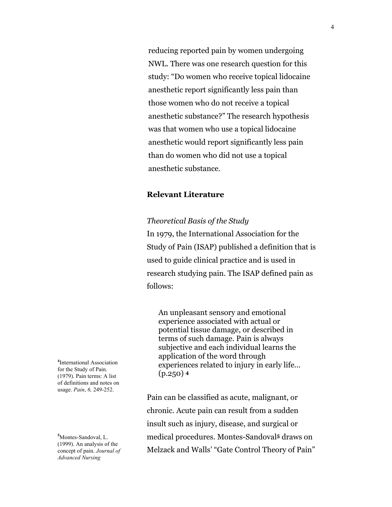reducing reported pain by women undergoing NWL. There was one research question for this study: "Do women who receive topical lidocaine anesthetic report significantly less pain than those women who do not receive a topical anesthetic substance?" The research hypothesis was that women who use a topical lidocaine anesthetic would report significantly less pain than do women who did not use a topical anesthetic substance.

# **Relevant Literature**

### *Theoretical Basis of the Study*

In 1979, the International Association for the Study of Pain (ISAP) published a definition that is used to guide clinical practice and is used in research studying pain. The ISAP defined pain as follows:

An unpleasant sensory and emotional experience associated with actual or potential tissue damage, or described in terms of such damage. Pain is always subjective and each individual learns the application of the word through experiences related to injury in early life... (p.250) **<sup>4</sup>**

Pain can be classified as acute, malignant, or chronic. Acute pain can result from a sudden insult such as injury, disease, and surgical or medical procedures. Montes-Sandoval**5** draws on Melzack and Walls' "Gate Control Theory of Pain"

**4** International Association for the Study of Pain. (1979). Pain terms: A list of definitions and notes on usage. *Pain*, *6,* 249-252.

**5** Montes-Sandoval, L. (1999). An analysis of the concept of pain. *Journal of Advanced Nursing*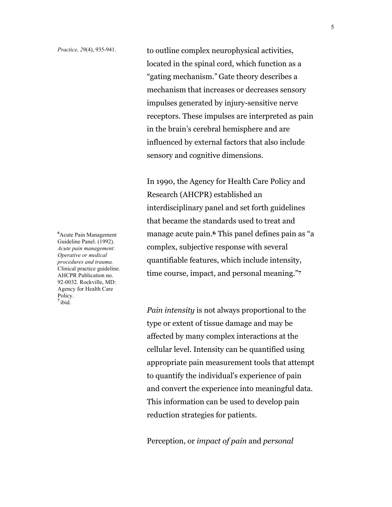*Practice, 29*(4), 935-941. to outline complex neurophysical activities, located in the spinal cord, which function as a "gating mechanism." Gate theory describes a mechanism that increases or decreases sensory impulses generated by injury-sensitive nerve receptors. These impulses are interpreted as pain in the brain's cerebral hemisphere and are influenced by external factors that also include sensory and cognitive dimensions.

> In 1990, the Agency for Health Care Policy and Research (AHCPR) established an interdisciplinary panel and set forth guidelines that became the standards used to treat and manage acute pain.**<sup>6</sup>** This panel defines pain as "a complex, subjective response with several quantifiable features, which include intensity, time course, impact, and personal meaning."**<sup>7</sup>**

> *Pain intensity* is not always proportional to the type or extent of tissue damage and may be affected by many complex interactions at the cellular level. Intensity can be quantified using appropriate pain measurement tools that attempt to quantify the individual's experience of pain and convert the experience into meaningful data. This information can be used to develop pain reduction strategies for patients.

Perception, or *impact of pain* and *personal* 

**6** Acute Pain Management Guideline Panel. (1992). *Acute pain management: Operative or medical procedures and trauma.* Clinical practice guideline. AHCPR Publication no. 92-0032. Rockville, MD: Agency for Health Care Policy. **<sup>7</sup>**ibid.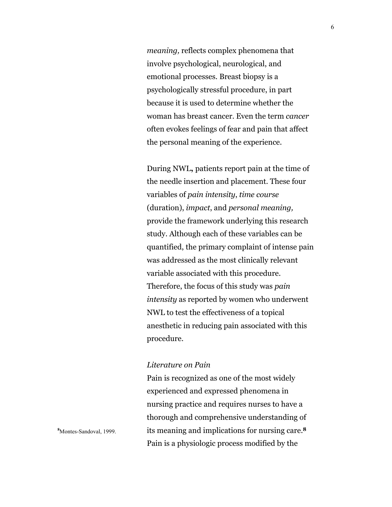*meaning,* reflects complex phenomena that involve psychological, neurological, and emotional processes. Breast biopsy is a psychologically stressful procedure, in part because it is used to determine whether the woman has breast cancer. Even the term *cancer* often evokes feelings of fear and pain that affect the personal meaning of the experience.

During NWL**,** patients report pain at the time of the needle insertion and placement. These four variables of *pain intensity*, *time course*  (duration), *impact*, and *personal meaning,* provide the framework underlying this research study. Although each of these variables can be quantified, the primary complaint of intense pain was addressed as the most clinically relevant variable associated with this procedure. Therefore, the focus of this study was *pain intensity* as reported by women who underwent NWL to test the effectiveness of a topical anesthetic in reducing pain associated with this procedure.

#### *Literature on Pain*

Pain is recognized as one of the most widely experienced and expressed phenomena in nursing practice and requires nurses to have a thorough and comprehensive understanding of its meaning and implications for nursing care.**<sup>8</sup>** Pain is a physiologic process modified by the

**8** Montes-Sandoval, 1999.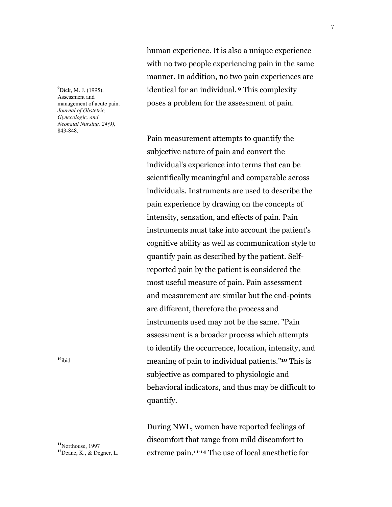**9** Dick, M. J. (1995). Assessment and management of acute pain. *Journal of Obstetric, Gynecologic, and Neonatal Nursing, 24(*9*),* 843-848.

**<sup>10</sup>**ibid.

**<sup>11</sup>**Northouse, 1997 **<sup>12</sup>**Deane, K., & Degner, L. human experience. It is also a unique experience with no two people experiencing pain in the same manner. In addition, no two pain experiences are identical for an individual. **9** This complexity poses a problem for the assessment of pain.

Pain measurement attempts to quantify the subjective nature of pain and convert the individual's experience into terms that can be scientifically meaningful and comparable across individuals. Instruments are used to describe the pain experience by drawing on the concepts of intensity, sensation, and effects of pain. Pain instruments must take into account the patient's cognitive ability as well as communication style to quantify pain as described by the patient. Selfreported pain by the patient is considered the most useful measure of pain. Pain assessment and measurement are similar but the end-points are different, therefore the process and instruments used may not be the same. "Pain assessment is a broader process which attempts to identify the occurrence, location, intensity, and meaning of pain to individual patients."**10** This is subjective as compared to physiologic and behavioral indicators, and thus may be difficult to quantify.

During NWL, women have reported feelings of discomfort that range from mild discomfort to extreme pain.**11-14** The use of local anesthetic for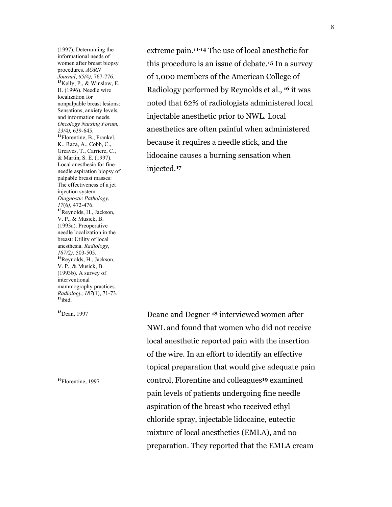(1997). Determining the informational needs of women after breast biopsy procedures. *AORN Journal*, *65(*4*),* 767-776. **<sup>13</sup>**Kelly, P., & Winslow, E. H. (1996). Needle wire localization for nonpalpable breast lesions: Sensations, anxiety levels, and information needs*. Oncology Nursing Forum, 23(*4*),* 639-645. **<sup>14</sup>**Florentine, B., Frankel, K., Raza, A., Cobb, C., Greaves, T., Carriere, C., & Martin, S. E. (1997). Local anesthesia for fineneedle aspiration biopsy of palpable breast masses: The effectiveness of a jet injection system. *Diagnostic Pathology*, *17*(6*)*, 472-476. **<sup>15</sup>**Reynolds, H., Jackson, V. P., & Musick, B. (1993a). Preoperative needle localization in the breast: Utility of local anesthesia. *Radiology*, *187(*2*),* 503-505. **<sup>16</sup>**Reynolds, H., Jackson, V. P., & Musick, B. (1993b). A survey of interventional mammography practices. *Radiology*, *187*(1), 71-73. **<sup>17</sup>**ibid.

**<sup>18</sup>**Dean, 1997

**<sup>19</sup>**Florentine, 1997

extreme pain.**11-14** The use of local anesthetic for this procedure is an issue of debate.**<sup>15</sup>** In a survey of 1,000 members of the American College of Radiology performed by Reynolds et al., **16** it was noted that 62% of radiologists administered local injectable anesthetic prior to NWL. Local anesthetics are often painful when administered because it requires a needle stick, and the lidocaine causes a burning sensation when injected.**<sup>17</sup>**

Deane and Degner **18** interviewed women after NWL and found that women who did not receive local anesthetic reported pain with the insertion of the wire. In an effort to identify an effective topical preparation that would give adequate pain control, Florentine and colleagues**19** examined pain levels of patients undergoing fine needle aspiration of the breast who received ethyl chloride spray, injectable lidocaine, eutectic mixture of local anesthetics (EMLA), and no preparation. They reported that the EMLA cream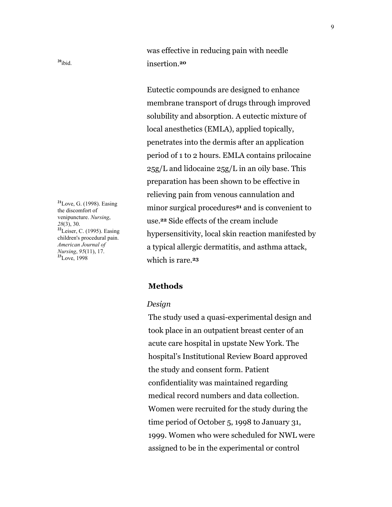was effective in reducing pain with needle insertion.**<sup>20</sup>**

9

Eutectic compounds are designed to enhance membrane transport of drugs through improved solubility and absorption. A eutectic mixture of local anesthetics (EMLA), applied topically, penetrates into the dermis after an application period of 1 to 2 hours. EMLA contains prilocaine  $25g/L$  and lidocaine  $25g/L$  in an oily base. This preparation has been shown to be effective in relieving pain from venous cannulation and minor surgical procedures**21** and is convenient to use.**22** Side effects of the cream include hypersensitivity, local skin reaction manifested by a typical allergic dermatitis, and asthma attack, which is rare.**<sup>23</sup>**

## **Methods**

#### *Design*

The study used a quasi-experimental design and took place in an outpatient breast center of an acute care hospital in upstate New York. The hospital's Institutional Review Board approved the study and consent form. Patient confidentiality was maintained regarding medical record numbers and data collection. Women were recruited for the study during the time period of October 5, 1998 to January 31, 1999. Women who were scheduled for NWL were assigned to be in the experimental or control

**<sup>21</sup>**Love, G. (1998). Easing the discomfort of venipuncture. *Nursing*, *28*(3), 30. **<sup>22</sup>**Leiser, C. (1995). Easing children's procedural pain. *American Journal of Nursing*, *95*(11), 17. **<sup>23</sup>**Love, 1998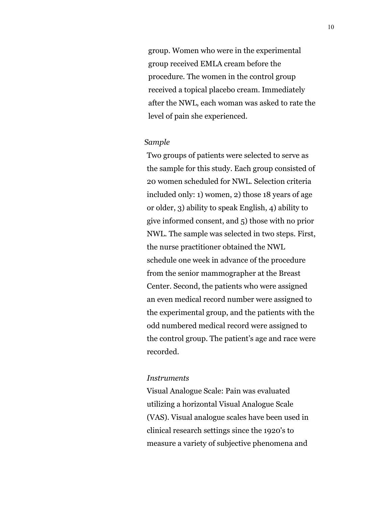group. Women who were in the experimental group received EMLA cream before the procedure. The women in the control group received a topical placebo cream. Immediately after the NWL, each woman was asked to rate the level of pain she experienced.

### *Sample*

Two groups of patients were selected to serve as the sample for this study. Each group consisted of 20 women scheduled for NWL. Selection criteria included only: 1) women, 2) those 18 years of age or older, 3) ability to speak English, 4) ability to give informed consent, and 5) those with no prior NWL. The sample was selected in two steps. First, the nurse practitioner obtained the NWL schedule one week in advance of the procedure from the senior mammographer at the Breast Center. Second, the patients who were assigned an even medical record number were assigned to the experimental group, and the patients with the odd numbered medical record were assigned to the control group. The patient's age and race were recorded.

#### *Instruments*

Visual Analogue Scale: Pain was evaluated utilizing a horizontal Visual Analogue Scale (VAS). Visual analogue scales have been used in clinical research settings since the 1920's to measure a variety of subjective phenomena and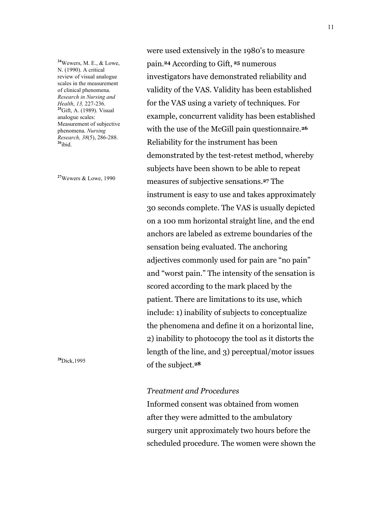**<sup>24</sup>**Wewers, M. E., & Lowe, N. (1990). A critical review of visual analogue scales in the measurement of clinical phenomena. *Research in Nursing and Health*, *13,* 227-236. **<sup>25</sup>**Gift, A. (1989). Visual analogue scales: Measurement of subjective phenomena. *Nursing Research, 38*(5), 286-288. **<sup>26</sup>**ibid.

**<sup>27</sup>**Wewers & Lowe, 1990

**<sup>28</sup>**Dick,1995

were used extensively in the 1980's to measure pain.**24** According to Gift, **25** numerous investigators have demonstrated reliability and validity of the VAS. Validity has been established for the VAS using a variety of techniques. For example, concurrent validity has been established with the use of the McGill pain questionnaire.**<sup>26</sup>** Reliability for the instrument has been demonstrated by the test-retest method, whereby subjects have been shown to be able to repeat measures of subjective sensations.**27** The instrument is easy to use and takes approximately 30 seconds complete. The VAS is usually depicted on a 100 mm horizontal straight line, and the end anchors are labeled as extreme boundaries of the sensation being evaluated. The anchoring adjectives commonly used for pain are "no pain" and "worst pain." The intensity of the sensation is scored according to the mark placed by the patient. There are limitations to its use, which include: 1) inability of subjects to conceptualize the phenomena and define it on a horizontal line, 2) inability to photocopy the tool as it distorts the length of the line, and 3) perceptual/motor issues of the subject.**<sup>28</sup>**

### *Treatment and Procedures*

Informed consent was obtained from women after they were admitted to the ambulatory surgery unit approximately two hours before the scheduled procedure. The women were shown the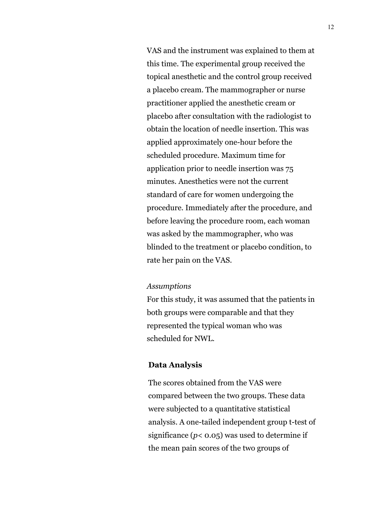VAS and the instrument was explained to them at this time. The experimental group received the topical anesthetic and the control group received a placebo cream. The mammographer or nurse practitioner applied the anesthetic cream or placebo after consultation with the radiologist to obtain the location of needle insertion. This was applied approximately one-hour before the scheduled procedure. Maximum time for application prior to needle insertion was 75 minutes. Anesthetics were not the current standard of care for women undergoing the procedure. Immediately after the procedure, and before leaving the procedure room, each woman was asked by the mammographer, who was blinded to the treatment or placebo condition, to rate her pain on the VAS.

## *Assumptions*

For this study, it was assumed that the patients in both groups were comparable and that they represented the typical woman who was scheduled for NWL.

#### **Data Analysis**

The scores obtained from the VAS were compared between the two groups. These data were subjected to a quantitative statistical analysis. A one-tailed independent group t-test of significance  $(p < 0.05)$  was used to determine if the mean pain scores of the two groups of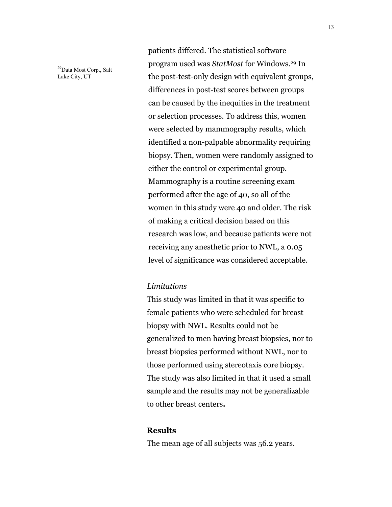<sup>29</sup>Data Most Corp., Salt Lake City, UT

patients differed. The statistical software program used was *StatMost* for Windows.29 In the post-test-only design with equivalent groups, differences in post-test scores between groups can be caused by the inequities in the treatment or selection processes. To address this, women were selected by mammography results, which identified a non-palpable abnormality requiring biopsy. Then, women were randomly assigned to either the control or experimental group. Mammography is a routine screening exam performed after the age of 40, so all of the women in this study were 40 and older. The risk of making a critical decision based on this research was low, and because patients were not receiving any anesthetic prior to NWL, a 0.05 level of significance was considered acceptable.

## *Limitations*

This study was limited in that it was specific to female patients who were scheduled for breast biopsy with NWL. Results could not be generalized to men having breast biopsies, nor to breast biopsies performed without NWL, nor to those performed using stereotaxis core biopsy. The study was also limited in that it used a small sample and the results may not be generalizable to other breast centers**.**

# **Results**

The mean age of all subjects was 56.2 years.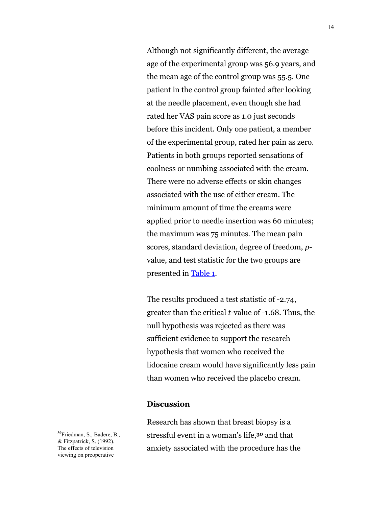<span id="page-13-0"></span>Although not significantly different, the average age of the experimental group was 56.9 years, and the mean age of the control group was 55.5. One patient in the control group fainted after looking at the needle placement, even though she had rated her VAS pain score as 1.0 just seconds before this incident. Only one patient, a member of the experimental group, rated her pain as zero. Patients in both groups reported sensations of coolness or numbing associated with the cream. There were no adverse effects or skin changes associated with the use of either cream. The minimum amount of time the creams were applied prior to needle insertion was 60 minutes; the maximum was 75 minutes. The mean pain scores, standard deviation, degree of freedom, *p*value, and test statistic for the two groups are presented i[n Table 1.](#page-17-0) 

The results produced a test statistic of -2.74, greater than the critical *t*-value of -1.68. Thus, the null hypothesis was rejected as there was sufficient evidence to support the research hypothesis that women who received the lidocaine cream would have significantly less pain than women who received the placebo cream.

### **Discussion**

Research has shown that breast biopsy is a stressful event in a woman's life,**30** and that anxiety associated with the procedure has the

l b d'an deus d'an deus d'an deus d'an deus de la deus de la deus de la deus de la deus de la deus de la deus<br>Deus de la década de la década de la década de la década de la década de la década de la década de la década d

**<sup>30</sup>**Friedman, S., Badere, B., & Fitzpatrick, S. (1992). The effects of television viewing on preoperative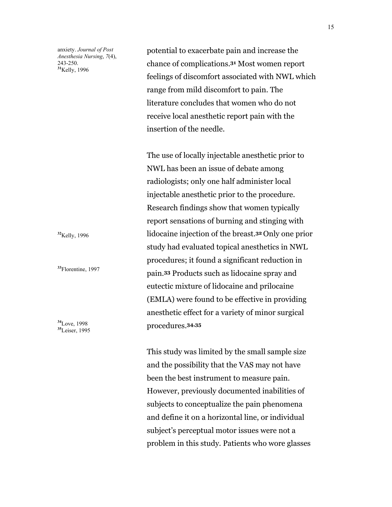anxiety. *Journal of Post Anesthesia Nursing*, *7*(4), 243-250. **<sup>31</sup>**Kelly, 1996

potential to exacerbate pain and increase the chance of complications.**31** Most women report feelings of discomfort associated with NWL which range from mild discomfort to pain. The literature concludes that women who do not receive local anesthetic report pain with the insertion of the needle.

The use of locally injectable anesthetic prior to NWL has been an issue of debate among radiologists; only one half administer local injectable anesthetic prior to the procedure. Research findings show that women typically report sensations of burning and stinging with lidocaine injection of the breast.**32** Only one prior study had evaluated topical anesthetics in NWL procedures; it found a significant reduction in pain.**33** Products such as lidocaine spray and eutectic mixture of lidocaine and prilocaine (EMLA) were found to be effective in providing anesthetic effect for a variety of minor surgical procedures.**34,35** 

This study was limited by the small sample size and the possibility that the VAS may not have been the best instrument to measure pain. However, previously documented inabilities of subjects to conceptualize the pain phenomena and define it on a horizontal line, or individual subject's perceptual motor issues were not a problem in this study. Patients who wore glasses

**<sup>32</sup>**Kelly, 1996

**<sup>33</sup>**Florentine, 1997

**<sup>34</sup>**Love, 1998 **<sup>35</sup>**Leiser, 1995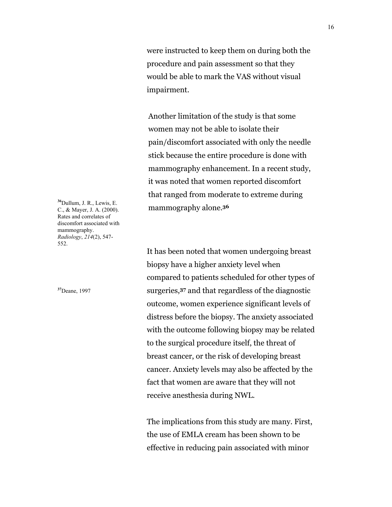were instructed to keep them on during both the procedure and pain assessment so that they would be able to mark the VAS without visual impairment.

Another limitation of the study is that some women may not be able to isolate their pain/discomfort associated with only the needle stick because the entire procedure is done with mammography enhancement. In a recent study, it was noted that women reported discomfort that ranged from moderate to extreme during mammography alone.**<sup>36</sup>**

**<sup>36</sup>**Dullum, J. R., Lewis, E. C., & Mayer, J. A. (2000). Rates and correlates of discomfort associated with mammography. *Radiology*, *214*(2), 547- 552.

**<sup>37</sup>**Deane, 1997

It has been noted that women undergoing breast biopsy have a higher anxiety level when compared to patients scheduled for other types of surgeries,**37** and that regardless of the diagnostic outcome, women experience significant levels of distress before the biopsy. The anxiety associated with the outcome following biopsy may be related to the surgical procedure itself, the threat of breast cancer, or the risk of developing breast cancer. Anxiety levels may also be affected by the fact that women are aware that they will not receive anesthesia during NWL.

The implications from this study are many. First, the use of EMLA cream has been shown to be effective in reducing pain associated with minor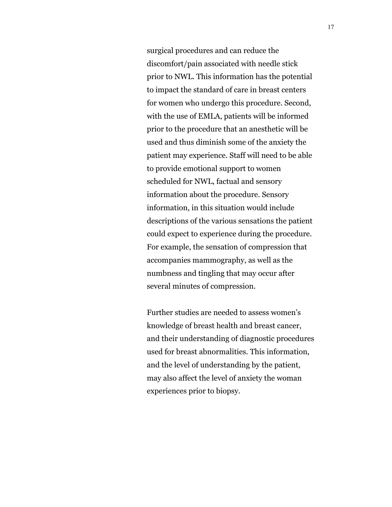surgical procedures and can reduce the discomfort/pain associated with needle stick prior to NWL. This information has the potential to impact the standard of care in breast centers for women who undergo this procedure. Second, with the use of EMLA, patients will be informed prior to the procedure that an anesthetic will be used and thus diminish some of the anxiety the patient may experience. Staff will need to be able to provide emotional support to women scheduled for NWL, factual and sensory information about the procedure. Sensory information, in this situation would include descriptions of the various sensations the patient could expect to experience during the procedure. For example, the sensation of compression that accompanies mammography, as well as the numbness and tingling that may occur after several minutes of compression.

Further studies are needed to assess women's knowledge of breast health and breast cancer, and their understanding of diagnostic procedures used for breast abnormalities. This information, and the level of understanding by the patient, may also affect the level of anxiety the woman experiences prior to biopsy.